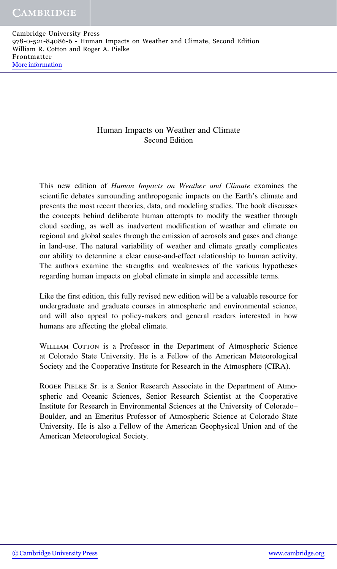Cambridge University Press 978-0-521-84086-6 - Human Impacts on Weather and Climate, Second Edition William R. Cotton and Roger A. Pielke Frontmatter [More information](www.cambridge.org/0521840864)

### Human Impacts on Weather and Climate Second Edition

This new edition of *Human Impacts on Weather and Climate* examines the scientific debates surrounding anthropogenic impacts on the Earth's climate and presents the most recent theories, data, and modeling studies. The book discusses the concepts behind deliberate human attempts to modify the weather through cloud seeding, as well as inadvertent modification of weather and climate on regional and global scales through the emission of aerosols and gases and change in land-use. The natural variability of weather and climate greatly complicates our ability to determine a clear cause-and-effect relationship to human activity. The authors examine the strengths and weaknesses of the various hypotheses regarding human impacts on global climate in simple and accessible terms.

Like the first edition, this fully revised new edition will be a valuable resource for undergraduate and graduate courses in atmospheric and environmental science, and will also appeal to policy-makers and general readers interested in how humans are affecting the global climate.

WILLIAM COTTON is a Professor in the Department of Atmospheric Science at Colorado State University. He is a Fellow of the American Meteorological Society and the Cooperative Institute for Research in the Atmosphere (CIRA).

Roger Pielke Sr. is a Senior Research Associate in the Department of Atmospheric and Oceanic Sciences, Senior Research Scientist at the Cooperative Institute for Research in Environmental Sciences at the University of Colorado– Boulder, and an Emeritus Professor of Atmospheric Science at Colorado State University. He is also a Fellow of the American Geophysical Union and of the American Meteorological Society.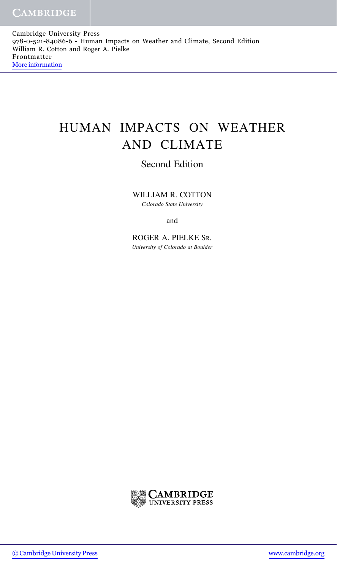Cambridge University Press 978-0-521-84086-6 - Human Impacts on Weather and Climate, Second Edition William R. Cotton and Roger A. Pielke Frontmatter [More information](www.cambridge.org/0521840864)

# HUMAN IMPACTS ON WEATHER AND CLIMATE

## Second Edition

#### WILLIAM R. COTTON

*Colorado State University*

and

## ROGER A. PIELKE Sr.

*University of Colorado at Boulder*



[© Cambridge University Press](www.cambridge.org) <www.cambridge.org>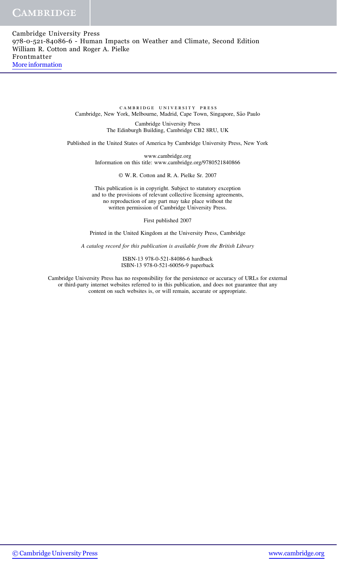cambridge university press Cambridge, New York, Melbourne, Madrid, Cape Town, Singapore, São Paulo

> Cambridge University Press The Edinburgh Building, Cambridge CB2 8RU, UK

Published in the United States of America by Cambridge University Press, New York

www.cambridge.org Information on this title: www.cambridge.org/9780521840866

© W. R. Cotton and R. A. Pielke Sr. 2007

This publication is in copyright. Subject to statutory exception and to the provisions of relevant collective licensing agreements, no reproduction of any part may take place without the written permission of Cambridge University Press.

First published 2007

Printed in the United Kingdom at the University Press, Cambridge

*A catalog record for this publication is available from the British Library*

ISBN-13 978-0-521-84086-6 hardback ISBN-13 978-0-521-60056-9 paperback

Cambridge University Press has no responsibility for the persistence or accuracy of URLs for external or third-party internet websites referred to in this publication, and does not guarantee that any content on such websites is, or will remain, accurate or appropriate.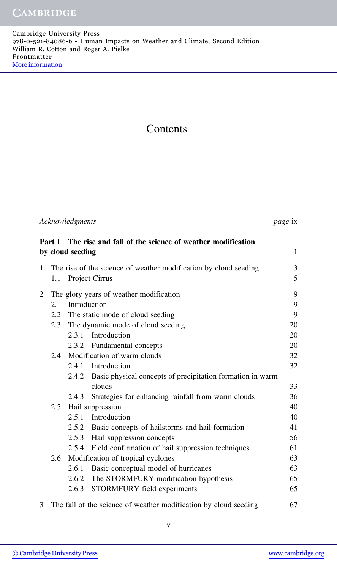# **Contents**

|              |     | Acknowledgments  |                                                                            | <i>page</i> ix |  |
|--------------|-----|------------------|----------------------------------------------------------------------------|----------------|--|
|              |     | by cloud seeding | Part I The rise and fall of the science of weather modification            | $\mathbf{1}$   |  |
| $\mathbf{1}$ |     |                  | The rise of the science of weather modification by cloud seeding           | 3              |  |
|              | 1.1 |                  | Project Cirrus                                                             | 5              |  |
| 2            |     |                  | The glory years of weather modification                                    | 9              |  |
|              | 2.1 | Introduction     |                                                                            |                |  |
|              |     |                  | 2.2 The static mode of cloud seeding                                       | 9              |  |
|              | 2.3 |                  | The dynamic mode of cloud seeding                                          | 20             |  |
|              |     |                  | 2.3.1 Introduction                                                         | 20             |  |
|              |     |                  | 2.3.2 Fundamental concepts                                                 | 20             |  |
|              | 2.4 |                  | Modification of warm clouds                                                | 32             |  |
|              |     |                  | 2.4.1 Introduction                                                         | 32             |  |
|              |     |                  | 2.4.2 Basic physical concepts of precipitation formation in warm<br>clouds | 33             |  |
|              |     | 2.4.3            | Strategies for enhancing rainfall from warm clouds                         | 36             |  |
|              | 2.5 |                  | Hail suppression                                                           | 40             |  |
|              |     |                  | 2.5.1 Introduction                                                         | 40             |  |
|              |     |                  | 2.5.2 Basic concepts of hailstorms and hail formation                      | 41             |  |
|              |     |                  | 2.5.3 Hail suppression concepts                                            | 56             |  |
|              |     |                  | 2.5.4 Field confirmation of hail suppression techniques                    | 61             |  |
|              | 2.6 |                  | Modification of tropical cyclones                                          | 63             |  |
|              |     |                  | 2.6.1 Basic conceptual model of hurricanes                                 | 63             |  |
|              |     |                  | 2.6.2 The STORMFURY modification hypothesis                                | 65             |  |
|              |     | 2.6.3            | STORMFURY field experiments                                                | 65             |  |

3 The fall of the science of weather modification by cloud seeding 67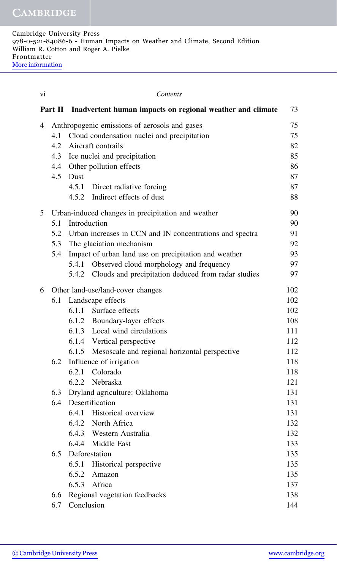| V1 |                                      |                                                                   | Contents                                                     |            |
|----|--------------------------------------|-------------------------------------------------------------------|--------------------------------------------------------------|------------|
|    |                                      | Part II Inadvertent human impacts on regional weather and climate |                                                              |            |
| 4  |                                      |                                                                   | Anthropogenic emissions of aerosols and gases                | 75         |
|    | 4.1                                  |                                                                   | Cloud condensation nuclei and precipitation                  | 75         |
|    | 4.2                                  |                                                                   | Aircraft contrails                                           | 82         |
|    | 4.3                                  |                                                                   | Ice nuclei and precipitation                                 | 85         |
|    | 4.4                                  |                                                                   | Other pollution effects                                      | 86         |
|    | 4.5                                  | Dust                                                              |                                                              | 87         |
|    |                                      |                                                                   | 4.5.1 Direct radiative forcing                               | 87         |
|    |                                      |                                                                   | 4.5.2 Indirect effects of dust                               | 88         |
| 5  |                                      |                                                                   | Urban-induced changes in precipitation and weather           | 90         |
|    | 5.1                                  | Introduction                                                      |                                                              | 90         |
|    |                                      |                                                                   | 5.2 Urban increases in CCN and IN concentrations and spectra | 91         |
|    |                                      |                                                                   | 5.3 The glaciation mechanism                                 | 92         |
|    | 5.4                                  |                                                                   | Impact of urban land use on precipitation and weather        | 93         |
|    |                                      | 5.4.1                                                             | Observed cloud morphology and frequency                      | 97         |
|    |                                      | 5.4.2                                                             | Clouds and precipitation deduced from radar studies          | 97         |
| 6  |                                      | Other land-use/land-cover changes                                 |                                                              | 102        |
|    | 6.1                                  |                                                                   | Landscape effects                                            | 102        |
|    |                                      |                                                                   | 6.1.1 Surface effects                                        | 102        |
|    |                                      |                                                                   | 6.1.2 Boundary-layer effects                                 | 108        |
|    |                                      |                                                                   | 6.1.3 Local wind circulations                                | 111        |
|    |                                      |                                                                   | 6.1.4 Vertical perspective                                   | 112        |
|    |                                      |                                                                   | 6.1.5 Mesoscale and regional horizontal perspective          | 112        |
|    | 6.2                                  | Influence of irrigation                                           |                                                              | 118        |
|    |                                      |                                                                   | 6.2.1 Colorado                                               | 118        |
|    |                                      |                                                                   | 6.2.2 Nebraska                                               | 121        |
|    | Dryland agriculture: Oklahoma<br>6.3 |                                                                   |                                                              | 131        |
|    | 6.4                                  |                                                                   | Desertification                                              |            |
|    |                                      |                                                                   | 6.4.1 Historical overview                                    | 131        |
|    |                                      |                                                                   | 6.4.2 North Africa                                           | 132        |
|    |                                      |                                                                   | 6.4.3 Western Australia                                      | 132        |
|    |                                      | 6.4.4                                                             | Middle East                                                  | 133        |
|    | 6.5                                  | Deforestation                                                     |                                                              | 135        |
|    |                                      | 6.5.1                                                             | Historical perspective                                       | 135        |
|    |                                      | 6.5.2                                                             | Amazon                                                       | 135        |
|    |                                      | 6.5.3                                                             | Africa                                                       | 137        |
|    | 6.6                                  | Regional vegetation feedbacks                                     |                                                              | 138<br>144 |
|    | 6.7                                  |                                                                   | Conclusion                                                   |            |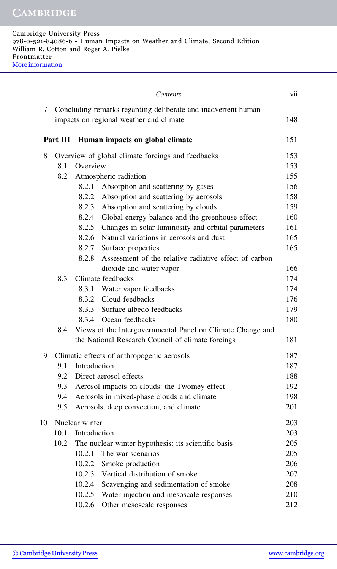|    |          | Contents                                                                                                        | vii |
|----|----------|-----------------------------------------------------------------------------------------------------------------|-----|
| 7  |          | Concluding remarks regarding deliberate and inadvertent human<br>impacts on regional weather and climate        | 148 |
|    | Part III | Human impacts on global climate                                                                                 | 151 |
| 8  |          | Overview of global climate forcings and feedbacks                                                               | 153 |
|    | 8.1      | Overview                                                                                                        | 153 |
|    | 8.2      | Atmospheric radiation                                                                                           | 155 |
|    |          | 8.2.1<br>Absorption and scattering by gases                                                                     | 156 |
|    |          | 8.2.2<br>Absorption and scattering by aerosols                                                                  | 158 |
|    |          | 8.2.3<br>Absorption and scattering by clouds                                                                    | 159 |
|    |          | 8.2.4<br>Global energy balance and the greenhouse effect                                                        | 160 |
|    |          | 8.2.5 Changes in solar luminosity and orbital parameters                                                        | 161 |
|    |          | 8.2.6<br>Natural variations in aerosols and dust                                                                | 165 |
|    |          | 8.2.7<br>Surface properties                                                                                     | 165 |
|    |          | Assessment of the relative radiative effect of carbon<br>8.2.8                                                  |     |
|    |          | dioxide and water vapor                                                                                         | 166 |
|    | 8.3      | Climate feedbacks                                                                                               | 174 |
|    |          | 8.3.1 Water vapor feedbacks                                                                                     | 174 |
|    |          | 8.3.2 Cloud feedbacks                                                                                           | 176 |
|    |          | 8.3.3 Surface albedo feedbacks                                                                                  | 179 |
|    |          | 8.3.4 Ocean feedbacks                                                                                           | 180 |
|    | 8.4      | Views of the Intergovernmental Panel on Climate Change and<br>the National Research Council of climate forcings | 181 |
|    |          |                                                                                                                 |     |
| 9  |          | Climatic effects of anthropogenic aerosols                                                                      | 187 |
|    | 9.1      | Introduction                                                                                                    | 187 |
|    | 9.2      | Direct aerosol effects                                                                                          | 188 |
|    | 9.3      | Aerosol impacts on clouds: the Twomey effect                                                                    | 192 |
|    | 9.4      | Aerosols in mixed-phase clouds and climate                                                                      | 198 |
|    | 9.5      | Aerosols, deep convection, and climate                                                                          | 201 |
| 10 |          | Nuclear winter                                                                                                  | 203 |
|    | 10.1     | Introduction                                                                                                    | 203 |
|    | 10.2     | The nuclear winter hypothesis: its scientific basis                                                             | 205 |
|    |          | 10.2.1<br>The war scenarios                                                                                     | 205 |
|    |          | 10.2.2<br>Smoke production                                                                                      | 206 |
|    |          | Vertical distribution of smoke<br>10.2.3                                                                        | 207 |
|    |          | 10.2.4<br>Scavenging and sedimentation of smoke                                                                 | 208 |
|    |          | 10.2.5<br>Water injection and mesoscale responses                                                               | 210 |
|    |          | 10.2.6<br>Other mesoscale responses                                                                             | 212 |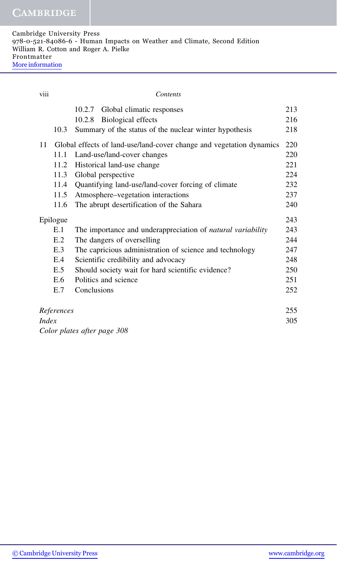| 10.2.7 Global climatic responses<br><b>Biological effects</b><br>10.2.8<br>Summary of the status of the nuclear winter hypothesis<br>10.3 | 213<br>216<br>218<br>220 |
|-------------------------------------------------------------------------------------------------------------------------------------------|--------------------------|
|                                                                                                                                           |                          |
|                                                                                                                                           |                          |
|                                                                                                                                           |                          |
| 11<br>Global effects of land-use/land-cover change and vegetation dynamics                                                                |                          |
| Land-use/land-cover changes<br>11.1                                                                                                       | 220                      |
| 11.2<br>Historical land-use change                                                                                                        | 221                      |
| 11.3<br>Global perspective                                                                                                                | 224                      |
| 11.4<br>Quantifying land-use/land-cover forcing of climate                                                                                | 232                      |
| 11.5<br>Atmosphere–vegetation interactions                                                                                                | 237                      |
| 11.6<br>The abrupt desertification of the Sahara                                                                                          | 240                      |
| Epilogue                                                                                                                                  | 243                      |
| E.1<br>The importance and underappreciation of <i>natural variability</i>                                                                 | 243                      |
| The dangers of overselling<br>E.2                                                                                                         | 244                      |
| The capricious administration of science and technology<br>E.3                                                                            | 247                      |
| E.4<br>Scientific credibility and advocacy                                                                                                | 248                      |
| E.5<br>Should society wait for hard scientific evidence?                                                                                  | 250                      |
| E.6<br>Politics and science                                                                                                               | 251                      |
| E.7<br>Conclusions                                                                                                                        | 252                      |
| References                                                                                                                                | 255                      |
| <i>Index</i>                                                                                                                              | 305                      |

*Color plates after page 308*